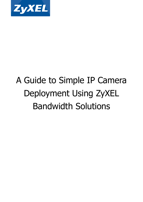

# A Guide to Simple IP Camera Deployment Using ZyXEL Bandwidth Solutions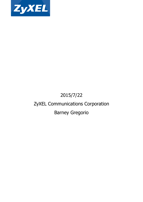

## 2015/7/22

## ZyXEL Communications Corporation

### Barney Gregorio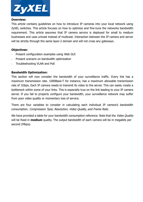

#### **Overview:**

This article contains guidelines on how to introduce IP cameras into your local network using ZyXEL switches. This article focuses on how to optimize and fine-tune the networks bandwidth requirement. This article assumes that IP camera service is deployed for small to medium businesses and uses unicast instead of multicast. Interaction between the IP camera and server will be strictly through the same layer-2 domain and will not cross any gateways.

#### **Objectives:**

- Present configuration examples using Web GUI
- Present scenario on bandwidth optimization
- Troubleshooting VLAN and PoE

#### **Bandwidth Optimization:**

This section will now consider the bandwidth of your surveillance traffic. Every link has a maximum transmission rate. 1000Base-T for instance, has a maximum allowable transmission rate of 1Gbps. Each IP camera needs to transmit its video to the server. This can easily create a bottleneck within some of your links. This is especially true on the link leading to your IP camera server. If you fail to properly configure your bandwidth, your surveillance network may suffer from poor video quality or momentary loss of service.

There are four variables to consider in calculating each individual IP camera's bandwidth consumption. Compression Type, Resolution, Video Quality, and Frame Rate.

We have provided a table for your bandwidth consumption reference. Note that the Video Quality will be fixed in **medium** quality. The output bandwidth of each camera will be in megabits per second (Mbps).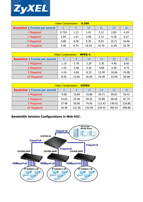

| <b>Video Compression:</b><br><b>H.264</b> |       |      |       |       |       |       |  |  |  |
|-------------------------------------------|-------|------|-------|-------|-------|-------|--|--|--|
| <b>Resolution \ Frames per second</b>     | 5     | 8    | 10    | 15    | 20    | 30    |  |  |  |
| 1 Megapixel                               | 0.724 | 1.13 | 1.41  | 2.12  | 2.83  | 4.24  |  |  |  |
| 2 Megapixel                               | 1.04  | 1.67 | 2.09  | 3.13  | 4.18  | 6.27  |  |  |  |
| 5 Megapixel                               | 2.68  | 4.28 | 5.35  | 8.03  | 10.71 | 16.06 |  |  |  |
| 10 Megapixel                              | 5.46  | 8.74 | 10.93 | 16.39 | 21.85 | 32.78 |  |  |  |

| <b>MPEG-4</b><br><u> Video Compression:</u> |      |       |       |       |       |       |  |  |  |
|---------------------------------------------|------|-------|-------|-------|-------|-------|--|--|--|
| <b>Resolution \ Frames per second</b>       |      | 8     | 10    | 15    | 20    | 30    |  |  |  |
| 1 Megapixel                                 | 1.10 | 1.76  | 2.20  | 3.30  | 4.40  | 6.60  |  |  |  |
| 2 Megapixel                                 | 1.63 | 2.60  | 3.25  | 4.88  | 6.50  | 9.75  |  |  |  |
| 5 Megapixel                                 | 4.16 | 6.66  | 8.33  | 12.49 | 16.66 | 24.98 |  |  |  |
| 10 Megapixel                                | 8.50 | 13.60 | 16.99 | 25.49 | 33.99 | 50.98 |  |  |  |

| <b>Video Compression:</b><br><b>MJPEG</b> |       |        |        |        |        |        |  |  |  |
|-------------------------------------------|-------|--------|--------|--------|--------|--------|--|--|--|
| <b>Resolution \ Frames per second</b>     | 5     | 8      | 10     | 15     | 20     | 30     |  |  |  |
| 1 Megapixel                               | 9.90  | 15.84  | 19.80  | 29.71  | 39.61  | 59.41  |  |  |  |
| 2 Megapixel                               | 14.63 | 23.40  | 29.25  | 43.88  | 58.50  | 87.75  |  |  |  |
| 5 Megapixel                               | 37.48 | 59.96  | 74.95  | 112.43 | 149.91 | 224.86 |  |  |  |
| 10 Megapixel                              | 76.48 | 122.36 | 152.95 | 229.43 | 305.91 | 458.86 |  |  |  |

#### **Bandwidth Solution Configurations in Web GUI:**

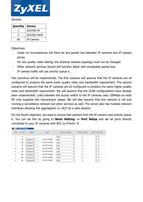

Devices:

| Quantity | <b>Device</b> |
|----------|---------------|
|          | GS3700-24     |
|          | GS1920-24HP   |
| 60       | IP Camera     |

Objectives:

- Under no circumstances will there be any packet loss between IP cameras and IP camera server.
- For low quality video setting, the physical network topology must not be changed
- Other network services should still function albeit with acceptable packet loss
- IP camera traffic will use priority queue 6

Two scenarios will be implemented. The first scenario will assume that the IP cameras are all configured to produce the same lower quality video and bandwidth requirement. The second scenario will assume that the IP cameras are all configured to produce the same higher quality video and bandwidth requirement. We will assume that the VLAN configurations have already been implemented. Links between the access switch to the IP cameras uses 100Mbps as most PD only supports this transmission speed. We will also assume that this network is not just running a surveillance network but other services as well. The server also has multiple network interfaces allowing link aggregation or LACP as a valid solution.

For the fourth objective, we need to ensure that packets from the IP camera uses priority queue 6. You can do this by going to **Basic Setting -> Port Setup** and set all ports directly connected to your IP cameras with 802.1p Priority: 6

|      | <b>Port Setup</b> |             |              |                                             |  |
|------|-------------------|-------------|--------------|---------------------------------------------|--|
| Port | Active            | <b>Name</b> | <b>Type</b>  | Speed / Duplex Flow Control 802.1p Priority |  |
|      |                   |             |              | Auto                                        |  |
|      |                   | Camera-01   | 10/100/1000M | Auto                                        |  |
|      |                   | Camera-02   | 10/100/1000M | Auto                                        |  |
|      |                   | Camera-03   | 10/100/1000M | Auto                                        |  |
|      |                   | Camera-04   | 10/100/1000M | Auto                                        |  |
|      |                   | Camera-05   | 10/100/1000M | Auto                                        |  |
|      |                   | Camera-06   | 10/100/1000M | Auto                                        |  |
|      |                   | Camera-07   | 10/100/1000M | Auto                                        |  |
|      |                   | Camera-08   | 10/100/1000M | Auto                                        |  |
|      |                   |             |              |                                             |  |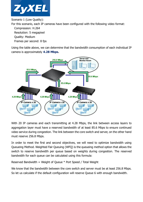

Scenario 1 (Low Quality):

For this scenario, each IP cameras have been configured with the following video format:

Compression: H.264

Resolution: 5 megapixel

Quality: Medium

Frames per second: 8 fps

Using the table above, we can determine that the bandwidth consumption of each individual IP camera is approximately **4.28 Mbps.**



With 20 IP cameras and each transmitting at 4.28 Mbps, the link between access layers to aggregation layer must have a reserved bandwidth of at least 85.6 Mbps to ensure continued video service during congestion. The link between the core switch and server, on the other hand must reserve 256.8 Mbps.

In order to meet the first and second objectives, we will need to optimize bandwidth using Queueing Method. Weighted Fair Queuing (WFQ) is the queueing method option that allows the switch to reserve bandwidth per queue based on weights during congestion. The reserved bandwidth for each queue can be calculated using this formula:

Reserved Bandwidth = Weight of Queue \* Port Speed / Total Weight

We know that the bandwidth between the core switch and server must be at least 256.8 Mbps. So let us calculate if the default configuration will reserve Queue 6 with enough bandwidth.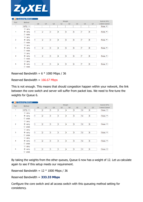

|      | <u>Queuing method</u> |                |                |                |                |                |                |    |       |                   |
|------|-----------------------|----------------|----------------|----------------|----------------|----------------|----------------|----|-------|-------------------|
| Port | <b>Method</b>         |                | Weight         |                |                |                |                |    |       | <b>Hybrid-SPQ</b> |
|      |                       | Q <sub>0</sub> | Q <sub>1</sub> | Q <sub>2</sub> | Q <sub>3</sub> | Q <sub>4</sub> | Q <sub>5</sub> | Q6 | $Q$ 7 | Lowest-Queue      |
|      | WFO<br>▼              |                |                |                |                |                |                |    |       | None v            |
|      | SPQ<br>U              |                |                |                |                |                |                |    |       |                   |
|      | ۰<br><b>WFQ</b>       | ٦              | 12             | 13             | 14             | 5              | 6              | 7  | 18    | None v            |
|      | ∩<br><b>WRR</b>       |                |                |                |                |                |                |    |       |                   |
|      | SPQ<br>U              |                |                |                |                |                |                |    |       |                   |
|      | ۰<br><b>WFQ</b>       | 1              | 12             | 3              | 14             | 15             | 6              | 7  | 18    | None v            |
|      | <b>WRR</b>            |                |                |                |                |                |                |    |       |                   |
|      | $\circ$ spq           |                |                |                |                |                |                |    |       |                   |
| 3    | <b>WFQ</b>            | 1              | 12             | 3              | 4              | 15             | 16             | 7  | 18    | None v            |
|      | <b>WRR</b><br>∩       |                |                |                |                |                |                |    |       |                   |
|      | $\circ$ spq           |                |                |                |                |                |                |    |       |                   |
|      | <b>WFQ</b>            | 1              | 12             | 3              | 14             | 15             | 16             | 7  | 18    | None v            |
|      | <b>WRR</b><br>□       |                |                |                |                |                |                |    |       |                   |
|      | $\circ$ spq           |                |                |                |                |                |                |    |       |                   |
| 5    | <b>WFQ</b>            | 1              | 12             | 13             | 14             | 15             | 6              | 7  | 18    | None v            |
|      | <b>WRR</b>            |                |                |                |                |                |                |    |       |                   |
|      |                       |                |                |                |                |                |                |    |       |                   |

Reserved Bandwidth =  $6 * 1000$  Mbps / 36

#### Reserved Bandwidth =  $166.67$  Mbps

This is not enough. This means that should congestion happen within your network, the link between the core switch and server will suffer from packet loss. We need to fine-tune the weights for Queue 6.

|      | Queuing Method               |                |                |                |                |        |                |                |                |               |
|------|------------------------------|----------------|----------------|----------------|----------------|--------|----------------|----------------|----------------|---------------|
| Port | <b>Method</b>                |                |                |                |                | Weight |                |                |                | Hybrid-SPQ    |
|      |                              | Q <sub>0</sub> | Q <sub>1</sub> | Q <sub>2</sub> | Q <sub>3</sub> | Q4     | Q <sub>5</sub> | Q <sub>6</sub> | Q <sub>7</sub> | Lowest-Queue  |
|      | WFQ<br>▼                     |                |                | 3              | 3              | Δ      | 5              | 12             | 6              | None v        |
|      | $\circ$ spo                  |                |                |                |                |        |                |                |                |               |
|      | $\circledcirc$<br><b>WFQ</b> | 1              | 2              | 13             | 13             | 4      | 15             | 12             | 16             | None v        |
|      | ◯<br><b>WRR</b>              |                |                |                |                |        |                |                |                |               |
|      | <b>SPQ</b>                   |                |                |                |                |        |                |                |                |               |
|      | <b>WFQ</b>                   | 1              | 2              | 13             | 13             | 4      | 15             | 12             | 16             | None v        |
|      | ∩<br><b>WRR</b>              |                |                |                |                |        |                |                |                |               |
|      | SPQ                          |                |                |                |                |        |                |                |                |               |
| 3    | <b>WFQ</b>                   | 1              | 2              | 3              | 3              | 14     | 15             | 12             | 6              | None v        |
|      | <b>WRR</b>                   |                |                |                |                |        |                |                |                |               |
|      | SPQ                          |                |                |                |                |        |                |                |                |               |
|      | $\circledcirc$<br><b>WFQ</b> | 1              | 2              | 3              | 3              | 14     | 5              | 12             | 16             | None v        |
|      | ○<br><b>WRR</b>              |                |                |                |                |        |                |                |                |               |
|      | $\circ$ spq                  |                |                |                |                |        |                |                |                |               |
| 5    | <b>WFQ</b><br>$\circledcirc$ |                | 2              | 13             | 3              | 4      | 15             | 12             | 16             | None <b>v</b> |
|      | <b>WRR</b>                   |                |                |                |                |        |                |                |                |               |

By taking the weights from the other queues, Queue 6 now has a weight of 12. Let us calculate again to see if this setup meets our requirement.

Reserved Bandwidth =  $12 * 1000$  Mbps / 36

Reserved Bandwidth = **333.33 Mbps**

Configure the core switch and all access switch with this queueing method setting for consistency.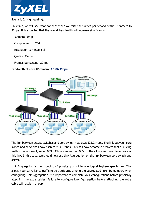

Scenario 2 (High quality):

This time, we will see what happens when we raise the frames per second of the IP camera to 30 fps. It is expected that the overall bandwidth will increase significantly.

IP Camera Setup

Compression: H.264

Resolution: 5 megapixel

Quality: Medium

Frames per second: 30 fps

#### Bandwidth of each IP camera: **16.06 Mbps**



The link between access switches and core switch now uses 321.2 Mbps. The link between core switch and server has now risen to 963.6 Mbps. This has now become a problem that queueing method cannot easily solve. 963.3 Mbps is more than 90% of the allowable transmission rate of this link. In this case, we should now use Link Aggregation on the link between core switch and server.

Link Aggregation is the grouping of physical ports into one logical higher-capacity link. This allows your surveillance traffic to be distributed among the aggregated links. Remember, when configuring Link Aggregation, it is important to complete your configurations before physically attaching the extra cables. Failure to configure Link Aggregation before attaching the extra cable will result in a loop.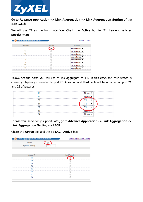

Go to **Advance Application -> Link Aggregation -> Link Aggregation Setting** of the core switch.

We will use T1 as the trunk interface. Check the **Active** box for T1. Leave criteria as **src-dst-mac**.

| Link Aggregation Setting | <b>Status LACP</b> |               |
|--------------------------|--------------------|---------------|
| <b>Group ID</b>          | Active             | Criteria      |
|                          |                    | src-dst-mac v |
| тэ                       |                    | src-dst-mac ▼ |
|                          |                    | src-dst-mac ▼ |
| ГΔ                       |                    | src-dst-mac ▼ |
| Т5.                      |                    | src-dst-mac ▼ |
| T6.                      |                    | src-dst-mac ▼ |
|                          |                    | src-dst-mac ▼ |
| Т8                       |                    | src-dst-mac ▼ |
|                          |                    |               |

Below, set the ports you will use to link aggregate as T1. In this case, the core switch is currently physically connected to port 20. A second and third cable will be attached on port 21 and 22 afterwards.

| ,,,,,,,,,,,,,,,,,,,<br>.<br>None ▼             |
|------------------------------------------------|
| <b>TELEVISION IN THE 2004</b><br>None <b>v</b> |
|                                                |
| .                                              |
| .                                              |
|                                                |
|                                                |

In case your server only support LACP, go to **Advance Application -> Link Aggregation -> Link Aggregation Setting -> LACP**.

Check the **Active** box and the T1 **LACP Active** box.

| <b>Ink Aggregation Control Protocol</b> | <b>Link Aggregation Setting</b> |
|-----------------------------------------|---------------------------------|
| <b>Active</b><br><b>System Priority</b> | 65535                           |
| <b>Group ID</b>                         | <b>LACP Active</b>              |
| Τ1                                      |                                 |
| T2                                      |                                 |
| T3                                      |                                 |
| Τ4                                      |                                 |
| T5                                      |                                 |
| T <sub>6</sub>                          |                                 |
| т7                                      |                                 |
| T8                                      |                                 |
|                                         |                                 |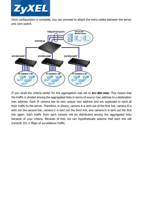

Once configuration is complete, you can proceed to attach the extra cables between the server and core switch.



If you recall the criteria earlier for link aggregation was set to **src-dst-mac**. This means that the traffic is divided among the aggregated links in terms of source mac address to a destination mac address. Each IP camera has its own unique mac address and are supposed to send all their traffic to the server. Therefore, in theory, camera-A is sent out of the first link, camera-B is sent out the second link, camera-C is sent out the third link, and camera-D is sent out the first link again. Each traffic from each camera will be distributed among the aggregated links because of your criteria. Because of this, we can hypothetically assume that each link will transmit 321.2 Mbps of surveillance traffic.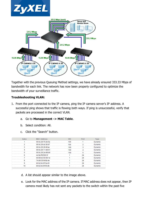



Together with the previous Queuing Method settings, we have already ensured 333.33 Mbps of bandwidth for each link. The network has now been properly configured to optimize the bandwidth of your surveillance traffic.

#### **Troubleshooting VLAN:**

1. From the port connected to the IP camera, ping the IP camera server's IP address. A successful ping shows that traffic is flowing both ways. If ping is unsuccessful, verify that packets are processed in the correct VLAN.

#### a. Go to **Management -> MAC Table**.

- b. Select condition: All.
- c. Click the "Search" button.

| <b>MAC Address</b> |     |    |         |
|--------------------|-----|----|---------|
| 00:0c:29:75:2b:5a  | 100 |    | Dynam   |
| 00:0c:29:cb:38:d7  | 100 |    | namic   |
| 00:0c:29:28:4f:ae  |     |    |         |
| 00:0c:29:11:d4:51  |     |    | Dynamic |
| 00:0c:29:2e:98:b9  |     |    | Dynamic |
| 4c:9e:ff:6f:90:3f  |     | 2Δ | Dynamic |
| 64:66:b3:50:08:1e  |     |    | Dynamic |
| 74:d4:35:f4:6h:4e  |     |    |         |
| b0:b2:d0:6f3a:d3   |     |    |         |
| b0:b2:dc:6f:55:db  |     |    |         |
|                    |     |    |         |

- d. A list should appear similar to the image above.
- e. Look for the MAC address of the IP camera. If MAC address does not appear, then IP camera most likely has not sent any packets to the switch within the past five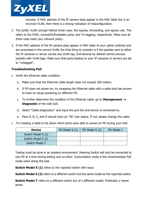

minutes. If MAC address of the IP camera does appear in the MAC table but in an incorrect VLAN, then there is a strong indication of misconfiguration.

- 2. The ZyXEL VLAN concept follows three rules: the ingress, forwarding, and egress rule. This refers to the PVID, normal/fix/forbidden ports, and Tx-tagging; respectively. Make sure all three rules meet your network policy.
- 3. If the MAC address of the IP camera does appear in MAC table of your uplink switches and are processed in the correct VLAN, the final thing to consider is if the packets sent to either the IP cameras or server carries any VLAN tag. End-devices by default cannot process packets with VLAN tags. Make sure that ports leading to your IP cameras or servers are set to "untagged".

#### **Troubleshooting PoE:**

- 1. Verify the Ethernet cable condition.
	- a. Make sure that the Ethernet cable length does not exceed 100 meters.
	- b. If PD does not power-on, try swapping the Ethernet cable with a cable that has proven to have no issues powering-on different PD.
	- c. To further determine the condition of the Ethernet cable, go to **Management -> Diagnostic** of the web GUI.
	- d. Select "Cable Diagnostics" and input the port the end-device is connected to.
	- e. Pairs A, B, C, and D should have an "Ok" pair status. If not, please change the cable.
- 2. Try creating a table to list down which ports were able to power-on PD during your test:

| <b>Device</b>      | PD Model X (1) | PD Model X (2) | PD Model Y |
|--------------------|----------------|----------------|------------|
| Switch Model X (1) |                |                |            |
| Switch Model X (2) |                |                |            |
| Switch Model Y     |                |                |            |

Testing must be done in an isolated environment. Meaning Switch will only be connected to one PD at a time during testing and no other. Consumption mode is the recommended PoE mode when doing this test.

**Switch Model X (1)** refers to the reported switch with issue.

**Switch Model X (2)** refers to a different switch but the same model as the reported switch.

**Switch Model Y** refers to a different switch but of a different model. Preferably a newer series.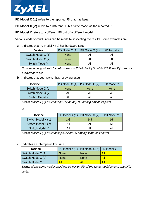

**PD Model X (1)** refers to the reported PD that has issue.

**PD Model X (2)** refers to a different PD but same model as the reported PD.

**PD Model Y** refers to a different PD but of a different model.

Various kinds of conclusions can be made by inspecting the results. Some examples are:

a. Indicates that PD Model X (1) has hardware issue.

| <b>Device</b>      | PD Model $X(1)$ PD Model $X(2)$ |     | PD Model Y |
|--------------------|---------------------------------|-----|------------|
| Switch Model X (1) | <b>None</b>                     | All | All        |
| Switch Model X (2) | <b>None</b>                     | All | All        |
| Switch Model Y     | <b>None</b>                     | All | All        |

No ports among all switch could power-on PD Model X (1), while PD Model X (2) shows a different result.

b. Indicates that your switch has hardware issue.

| <b>Device</b>         | PD Model $X(1)$ PD Model $X(2)$ |             | PD Model Y  |
|-----------------------|---------------------------------|-------------|-------------|
| Switch Model X (1)    | <b>None</b>                     | <b>None</b> | <b>None</b> |
| Switch Model X (2)    | All                             | All         | All         |
| <b>Switch Model Y</b> | All                             | All         | All         |

Switch Model X (1) could not power-on any PD among any of its ports.

or

| <b>Device</b>         | PD Model $X(1)$   PD Model $X(2)$ |         | PD Model Y |
|-----------------------|-----------------------------------|---------|------------|
| Switch Model X (1)    | $1 - 8$                           | $1 - 8$ | $1 - 8$    |
| Switch Model X (2)    | All                               |         | All        |
| <b>Switch Model Y</b> | All                               |         | All        |

Switch Model X (1) could only power-on PD among some of its ports.

#### c. Indicates an interoperability issue.

| <b>Device</b>         |             | PD Model $X(1)$   PD Model $X(2)$   PD Model Y |     |
|-----------------------|-------------|------------------------------------------------|-----|
| Switch Model X (1)    | <b>None</b> | <b>None</b>                                    | All |
| Switch Model X (2)    | <b>None</b> | <b>None</b>                                    | All |
| <b>Switch Model Y</b> | All         | All                                            | All |

Switch of the same model could not power-on PD of the same model among any of its ports.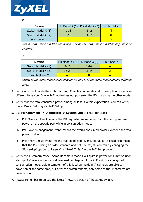

or

| <b>Device</b>         | PD Model $X(1)$ PD Model $X(2)$ |          | PD Model Y |
|-----------------------|---------------------------------|----------|------------|
| Switch Model X (1)    | $1 - 16$                        | $1 - 16$ | All        |
| Switch Model X (2)    | $1 - 16$                        | $1 - 16$ | All        |
| <b>Switch Model Y</b> | All                             | All      | All        |

Switch of the same model could only power-on PD of the same model among some of its ports.

or

| <b>Device</b>      | PD Model $X(1)$ PD Model $X(2)$ |           | PD Model Y |
|--------------------|---------------------------------|-----------|------------|
| Switch Model X (1) | $1 - 16$                        | $1 - 16$  | All        |
| Switch Model X (2) | $16 - 24$                       | $16 - 24$ | All        |
| Switch Model Y     | All                             | All       | All        |

Switch of the same model could only power-on PD of the same model among different ports.

- 3. Verify which PoE mode the switch is using. Classification mode and consumption mode have different behaviors. If one PoE mode does not power-on the PD, try using the other mode.
- 4. Verify that the total consumed power among all PDs is within expectation. You can verify this in **Basic Setting -> PoE Setup**.
- 5. Use **Management -> Diagnostic -> System Log** to check for clues:
	- a. PoE Overload Event: means the PD requested more power than the configured max power on the specific port while in consumption mode.
	- b. PoE Power Management Event: means the overall consumed power exceeded the total power budget.
	- c. PoE Short-Circuit Event: means that connected PD may be faulty. It could also mean that the PD is using an older standard and not 802.3af/at. You can try changing the "Power-Up" option to "Legacy" or "Pre-802.3at" in the PoE Setup page.
- 6. Verify the IP camera model. Some IP camera models will spike in power consumption upon startup. PoE over-budget or port overload can happen if the PoE switch is configured to consumption mode. Visible symptom of this is when multiple IP cameras are able to power-on at the same time, but after the switch reboots, only some of the IP cameras are powered-on.
- 7. Always remember to upload the latest firmware version of the ZyXEL switch.